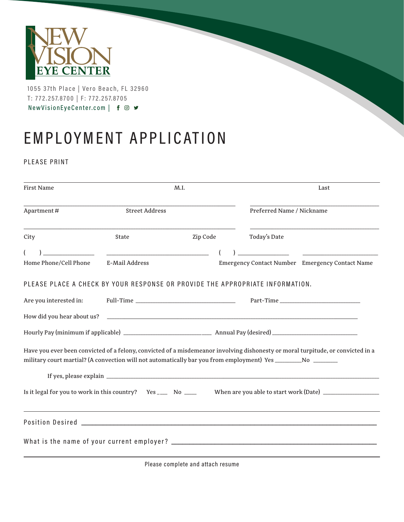

1055 37th Place | Vero Beach, FL 32960 T: 772.257.8700 | F: 772.257.8705 NewVisionEyeCenter.com | f © ♥

## EMPLOYMENT APPLICATION

PLEASE PRINT

| <b>First Name</b>                                                             |                       | M.I.     | Last                                                                                                                                                                                                                                             |  |  |  |  |  |  |
|-------------------------------------------------------------------------------|-----------------------|----------|--------------------------------------------------------------------------------------------------------------------------------------------------------------------------------------------------------------------------------------------------|--|--|--|--|--|--|
| Apartment#                                                                    | <b>Street Address</b> |          | Preferred Name / Nickname                                                                                                                                                                                                                        |  |  |  |  |  |  |
| City                                                                          | State                 | Zip Code | Today's Date                                                                                                                                                                                                                                     |  |  |  |  |  |  |
|                                                                               |                       |          |                                                                                                                                                                                                                                                  |  |  |  |  |  |  |
| Home Phone/Cell Phone                                                         | E-Mail Address        |          | Emergency Contact Number Emergency Contact Name                                                                                                                                                                                                  |  |  |  |  |  |  |
| PLEASE PLACE A CHECK BY YOUR RESPONSE OR PROVIDE THE APPROPRIATE INFORMATION. |                       |          |                                                                                                                                                                                                                                                  |  |  |  |  |  |  |
| Are you interested in:                                                        |                       |          |                                                                                                                                                                                                                                                  |  |  |  |  |  |  |
| How did you hear about us?                                                    |                       |          | <u> 1989 - Johann John Harry Harry Harry Harry Harry Harry Harry Harry Harry Harry Harry Harry Harry Harry Harry</u>                                                                                                                             |  |  |  |  |  |  |
|                                                                               |                       |          |                                                                                                                                                                                                                                                  |  |  |  |  |  |  |
|                                                                               |                       |          | Have you ever been convicted of a felony, convicted of a misdemeanor involving dishonesty or moral turpitude, or convicted in a<br>military court martial? (A convection will not automatically bar you from employment) Yes ___________________ |  |  |  |  |  |  |
|                                                                               |                       |          |                                                                                                                                                                                                                                                  |  |  |  |  |  |  |
| Is it legal for you to work in this country? Yes _____ No ____                |                       |          |                                                                                                                                                                                                                                                  |  |  |  |  |  |  |
|                                                                               |                       |          | Position Desired <b>Executive Contract Contract Contract Contract Contract Contract Contract Contract Contract Contract Contract Contract Contract Contract Contract Contract Contract Contract Contract Contract Contract Contr</b>             |  |  |  |  |  |  |
|                                                                               |                       |          |                                                                                                                                                                                                                                                  |  |  |  |  |  |  |

Please complete and attach resume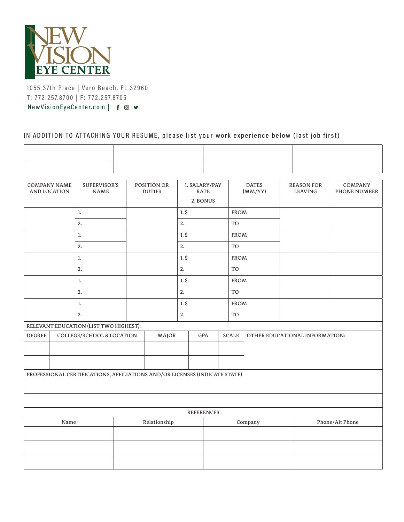

1055 37th Place | Vero Beach, FL 32960 T: 772.257.8700 | F: 772.257.8705 NewVisionEyeCenter.com | f © ♥

## IN ADDITION TO ATTACHING YOUR RESUME, please list your work experience below (last job first)

| <b>COMPANY NAME</b><br>SUPERVISOR'S<br>AND LOCATION<br><b>NAME</b> |                                                                            |                                        | POSITION OR<br><b>DUTIES</b> |         | 1. SALARY/PAY<br><b>RATE</b> | <b>DATES</b><br>(MM/YY) |                                | <b>REASON FOR</b><br><b>LEAVING</b> |  | COMPANY<br>PHONE NUMBER |  |  |
|--------------------------------------------------------------------|----------------------------------------------------------------------------|----------------------------------------|------------------------------|---------|------------------------------|-------------------------|--------------------------------|-------------------------------------|--|-------------------------|--|--|
|                                                                    |                                                                            |                                        |                              |         | 2. BONUS                     |                         |                                |                                     |  |                         |  |  |
|                                                                    |                                                                            | 1.                                     |                              |         | 1.5                          |                         |                                | <b>FROM</b>                         |  |                         |  |  |
|                                                                    |                                                                            | 2.                                     |                              |         | 2.                           |                         |                                | TO                                  |  |                         |  |  |
| 1.                                                                 |                                                                            |                                        |                              |         |                              | $1.$ \$                 |                                | <b>FROM</b>                         |  |                         |  |  |
| 2.                                                                 |                                                                            |                                        |                              |         |                              | 2.                      |                                | TO                                  |  |                         |  |  |
| 1.                                                                 |                                                                            |                                        |                              |         | $1.$ \$                      |                         | <b>FROM</b>                    |                                     |  |                         |  |  |
| 2.                                                                 |                                                                            |                                        |                              |         | 2.                           |                         | TO                             |                                     |  |                         |  |  |
|                                                                    | 1.                                                                         |                                        |                              |         |                              | $1.$ \$                 |                                | FROM                                |  |                         |  |  |
| 2.                                                                 |                                                                            |                                        |                              |         | 2.                           |                         | TO                             |                                     |  |                         |  |  |
|                                                                    | 1.                                                                         |                                        |                              |         | $1.$ \$                      |                         | FROM                           |                                     |  |                         |  |  |
| 2.                                                                 |                                                                            |                                        |                              |         |                              | 2.                      |                                | TO                                  |  |                         |  |  |
|                                                                    |                                                                            | RELEVANT EDUCATION (LIST TWO HIGHEST): |                              |         |                              |                         |                                |                                     |  |                         |  |  |
| <b>DEGREE</b>                                                      | COLLEGE/SCHOOL & LOCATION<br>MAJOR                                         |                                        | $\operatorname{GPA}$         |         | SCALE                        |                         | OTHER EDUCATIONAL INFORMATION: |                                     |  |                         |  |  |
|                                                                    |                                                                            |                                        |                              |         |                              |                         |                                |                                     |  |                         |  |  |
|                                                                    |                                                                            |                                        |                              |         |                              |                         |                                |                                     |  |                         |  |  |
|                                                                    |                                                                            |                                        |                              |         |                              |                         |                                |                                     |  |                         |  |  |
|                                                                    | PROFESSIONAL CERTIFICATIONS, AFFILIATIONS AND/OR LICENSES (INDICATE STATE) |                                        |                              |         |                              |                         |                                |                                     |  |                         |  |  |
|                                                                    |                                                                            |                                        |                              |         |                              |                         |                                |                                     |  |                         |  |  |
|                                                                    |                                                                            |                                        |                              |         |                              |                         |                                |                                     |  |                         |  |  |
| <b>REFERENCES</b>                                                  |                                                                            |                                        |                              |         |                              |                         |                                |                                     |  |                         |  |  |
| Relationship<br>Name                                               |                                                                            |                                        |                              | Company |                              |                         | Phone/Alt Phone                |                                     |  |                         |  |  |
|                                                                    |                                                                            |                                        |                              |         |                              |                         |                                |                                     |  |                         |  |  |
|                                                                    |                                                                            |                                        |                              |         |                              |                         |                                |                                     |  |                         |  |  |
|                                                                    |                                                                            |                                        |                              |         |                              |                         |                                |                                     |  |                         |  |  |